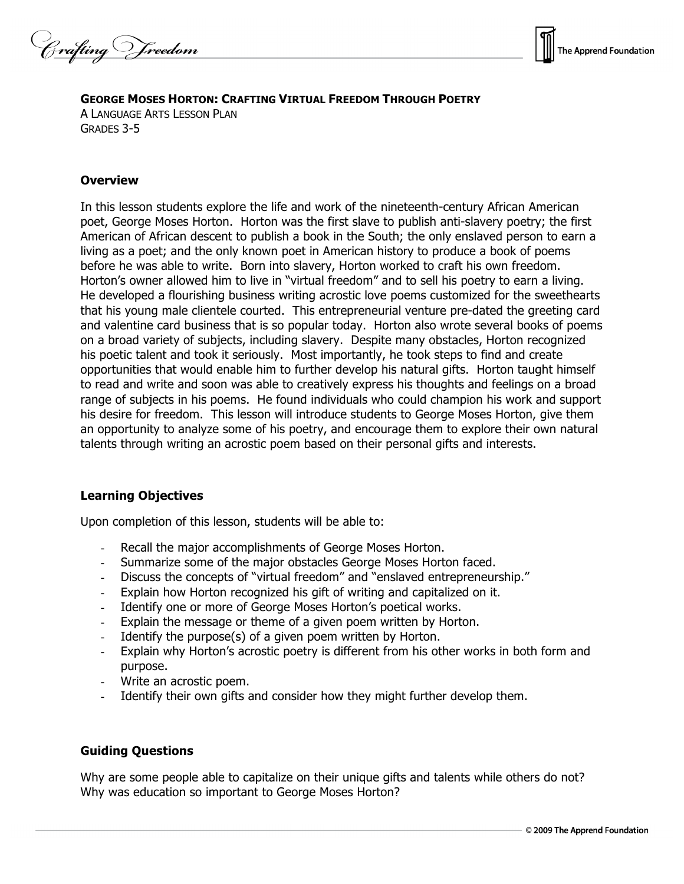Crafting Vreedom



### **GEORGE MOSES HORTON: CRAFTING VIRTUAL FREEDOM THROUGH POETRY**

A LANGUAGE ARTS LESSON PLAN GRADES 3-5

### **Overview**

In this lesson students explore the life and work of the nineteenth-century African American poet, George Moses Horton. Horton was the first slave to publish anti-slavery poetry; the first American of African descent to publish a book in the South; the only enslaved person to earn a living as a poet; and the only known poet in American history to produce a book of poems before he was able to write. Born into slavery, Horton worked to craft his own freedom. Horton's owner allowed him to live in "virtual freedom" and to sell his poetry to earn a living. He developed a flourishing business writing acrostic love poems customized for the sweethearts that his young male clientele courted. This entrepreneurial venture pre-dated the greeting card and valentine card business that is so popular today. Horton also wrote several books of poems on a broad variety of subjects, including slavery. Despite many obstacles, Horton recognized his poetic talent and took it seriously. Most importantly, he took steps to find and create opportunities that would enable him to further develop his natural gifts. Horton taught himself to read and write and soon was able to creatively express his thoughts and feelings on a broad range of subjects in his poems. He found individuals who could champion his work and support his desire for freedom. This lesson will introduce students to George Moses Horton, give them an opportunity to analyze some of his poetry, and encourage them to explore their own natural talents through writing an acrostic poem based on their personal gifts and interests.

# **Learning Objectives**

Upon completion of this lesson, students will be able to:

- Recall the major accomplishments of George Moses Horton.
- Summarize some of the major obstacles George Moses Horton faced.
- Discuss the concepts of "virtual freedom" and "enslaved entrepreneurship."
- Explain how Horton recognized his gift of writing and capitalized on it.
- Identify one or more of George Moses Horton's poetical works.
- Explain the message or theme of a given poem written by Horton.
- Identify the purpose(s) of a given poem written by Horton.
- Explain why Horton's acrostic poetry is different from his other works in both form and purpose.
- Write an acrostic poem.
- Identify their own gifts and consider how they might further develop them.

#### **Guiding Questions**

Why are some people able to capitalize on their unique gifts and talents while others do not? Why was education so important to George Moses Horton?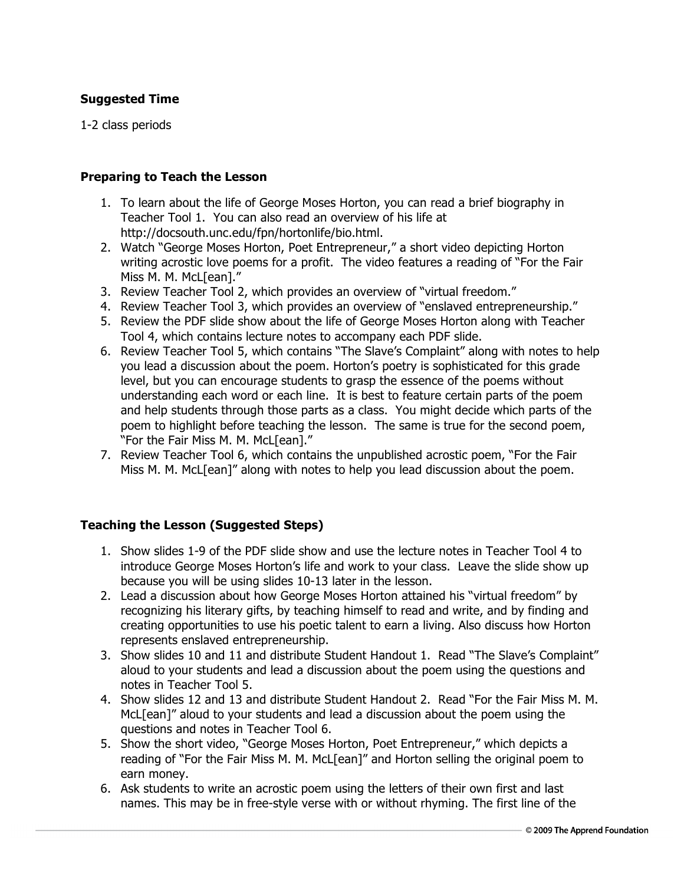# **Suggested Time**

1-2 class periods

### **Preparing to Teach the Lesson**

- 1. To learn about the life of George Moses Horton, you can read a brief biography in Teacher Tool 1. You can also read an overview of his life at http://docsouth.unc.edu/fpn/hortonlife/bio.html.
- 2. Watch "George Moses Horton, Poet Entrepreneur," a short video depicting Horton writing acrostic love poems for a profit. The video features a reading of "For the Fair Miss M. M. McL[ean]."
- 3. Review Teacher Tool 2, which provides an overview of "virtual freedom."
- 4. Review Teacher Tool 3, which provides an overview of "enslaved entrepreneurship."
- 5. Review the PDF slide show about the life of George Moses Horton along with Teacher Tool 4, which contains lecture notes to accompany each PDF slide.
- 6. Review Teacher Tool 5, which contains "The Slave's Complaint" along with notes to help you lead a discussion about the poem. Horton's poetry is sophisticated for this grade level, but you can encourage students to grasp the essence of the poems without understanding each word or each line. It is best to feature certain parts of the poem and help students through those parts as a class. You might decide which parts of the poem to highlight before teaching the lesson. The same is true for the second poem, "For the Fair Miss M. M. McL[ean]."
- 7. Review Teacher Tool 6, which contains the unpublished acrostic poem, "For the Fair Miss M. M. McL[ean]" along with notes to help you lead discussion about the poem.

# **Teaching the Lesson (Suggested Steps)**

- 1. Show slides 1-9 of the PDF slide show and use the lecture notes in Teacher Tool 4 to introduce George Moses Horton's life and work to your class. Leave the slide show up because you will be using slides 10-13 later in the lesson.
- 2. Lead a discussion about how George Moses Horton attained his "virtual freedom" by recognizing his literary gifts, by teaching himself to read and write, and by finding and creating opportunities to use his poetic talent to earn a living. Also discuss how Horton represents enslaved entrepreneurship.
- 3. Show slides 10 and 11 and distribute Student Handout 1. Read "The Slave's Complaint" aloud to your students and lead a discussion about the poem using the questions and notes in Teacher Tool 5.
- 4. Show slides 12 and 13 and distribute Student Handout 2. Read "For the Fair Miss M. M. McL[ean]" aloud to your students and lead a discussion about the poem using the questions and notes in Teacher Tool 6.
- 5. Show the short video, "George Moses Horton, Poet Entrepreneur," which depicts a reading of "For the Fair Miss M. M. McL[ean]" and Horton selling the original poem to earn money.
- 6. Ask students to write an acrostic poem using the letters of their own first and last names. This may be in free-style verse with or without rhyming. The first line of the